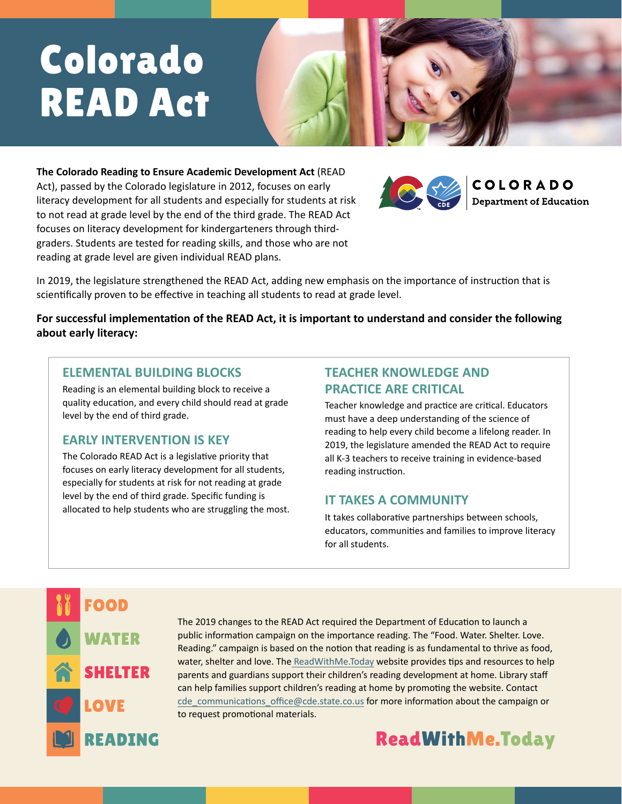# Colorado READ Act

**The Colorado Reading to Ensure Academic Development Act** (READ Act), passed by the Colorado legislature in 2012, focuses on early literacy development for all students and especially for students at risk to not read at grade level by the end of the third grade. The READ Act focuses on literacy development for kindergarteners through thirdgraders. Students are tested for reading skills, and those who are not reading at grade level are given individual READ plans.



In 2019, the legislature strengthened the READ Act, adding new emphasis on the importance of instruction that is scientifically proven to be effective in teaching all students to read at grade level.

**For successful implementation of the READ Act, it is important to understand and consider the following about early literacy:**

#### **ELEMENTAL BUILDING BLOCKS**

Reading is an elemental building block to receive a quality education, and every child should read at grade level by the end of third grade.

### **EARLY INTERVENTION IS KEY**

The Colorado READ Act is a legislative priority that focuses on early literacy development for all students, especially for students at risk for not reading at grade level by the end of third grade. Specific funding is allocated to help students who are struggling the most.

# **TEACHER KNOWLEDGE AND PRACTICE ARE CRITICAL**

Teacher knowledge and practice are critical. Educators must have a deep understanding of the science of reading to help every child become a lifelong reader. In 2019, the legislature amended the READ Act to require all K-3 teachers to receive training in evidence-based reading instruction.

### **IT TAKES A COMMUNITY**

It takes collaborative partnerships between schools, educators, communities and families to improve literacy for all students.



The 2019 changes to the READ Act required the Department of Education to launch a public information campaign on the importance reading. The "Food. Water. Shelter. Love. Reading." campaign is based on the notion that reading is as fundamental to thrive as food, water, shelter and love. The [ReadWithMe.Today](https://readwithme.today/) website provides tips and resources to help parents and guardians support their children's reading development at home. Library staff can help families support children's reading at home by promoting the website. Contact cde communications office@cde.state.co.us for more information about the campaign or to request promotional materials.

# [ReadWithMe.Today](https://readwithme.today/)